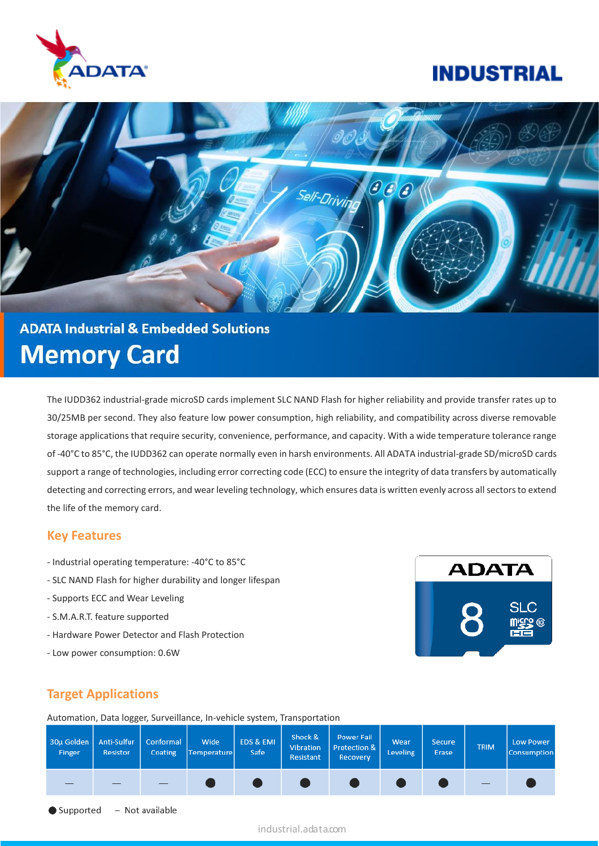

## **INDUSTRIAL**



# **ADATA Industrial & Embedded Solutions Memory Card**

The IUDD362 industrial-grade microSD cards implement SLC NAND Flash for higher reliability and provide transfer rates up to 30/25MB per second. They also feature low power consumption, high reliability, and compatibility across diverse removable storage applications that require security, convenience, performance, and capacity. With a wide temperature tolerance range of -40°C to 85°C, the IUDD362 can operate normally even in harsh environments. All ADATA industrial-grade SD/microSD cards support a range of technologies, including error correcting code (ECC) to ensure the integrity of data transfers by automatically detecting and correcting errors, and wear leveling technology, which ensures data is written evenly across all sectors to extend the life of the memory card.

#### **Key Features**

- Industrial operating temperature: -40°C to 85°C
- SLC NAND Flash for higher durability and longer lifespan
- Supports ECC and Wear Leveling
- S.M.A.R.T. feature supported
- Hardware Power Detector and Flash Protection
- Low power consumption: 0.6W



#### **Target Applications**

Automation, Data logger, Surveillance, In-vehicle system, Transportation

| 30µ Golden<br>Finger | Anti-Sulfur<br>Resistor | Conformal<br>Coating | Wide<br>Temperature | EDS & EMI<br>Safe | Shock &<br>Vibration<br>Resistant | <b>Power Fail</b><br><b>Protection &amp;</b><br>Recovery | Wear<br>Leveling | <b>Secure</b><br>Erase | <b>TRIM</b> | <b>Low Power</b><br>Consumption |
|----------------------|-------------------------|----------------------|---------------------|-------------------|-----------------------------------|----------------------------------------------------------|------------------|------------------------|-------------|---------------------------------|
|                      |                         |                      |                     |                   |                                   |                                                          |                  |                        | $\equiv$    |                                 |
| $\bullet$ Supported  |                         | – Not available      |                     |                   |                                   |                                                          |                  |                        |             |                                 |

industrial.adata.com